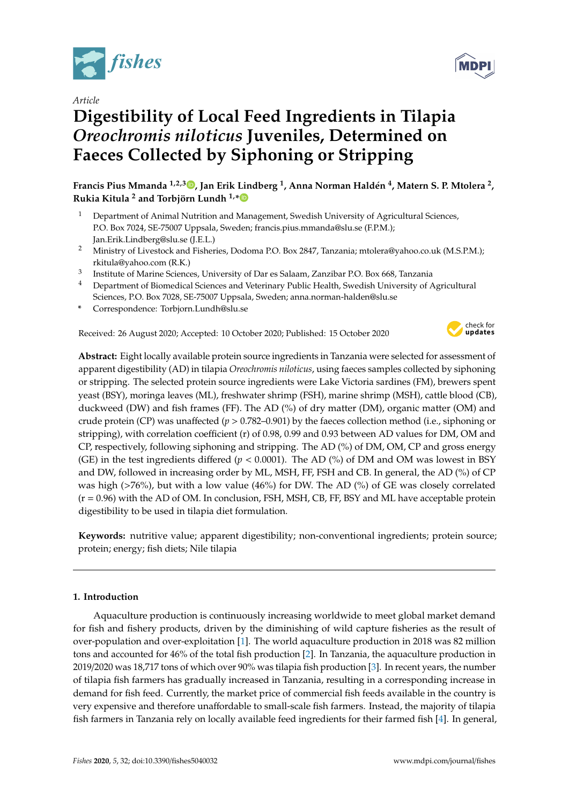

*Article*

# **Digestibility of Local Feed Ingredients in Tilapia** *Oreochromis niloticus* **Juveniles, Determined on Faeces Collected by Siphoning or Stripping**

**Francis Pius Mmanda 1,2,3 [,](https://orcid.org/0000-0002-4201-7439) Jan Erik Lindberg <sup>1</sup> , Anna Norman Haldén 4 , Matern S. P. Mtolera <sup>2</sup> , Rukia Kitula <sup>2</sup> and Torbjörn Lundh 1,[\\*](https://orcid.org/0000-0002-2780-3263)**

- <sup>1</sup> Department of Animal Nutrition and Management, Swedish University of Agricultural Sciences, P.O. Box 7024, SE-75007 Uppsala, Sweden; francis.pius.mmanda@slu.se (F.P.M.); Jan.Erik.Lindberg@slu.se (J.E.L.)
- <sup>2</sup> Ministry of Livestock and Fisheries, Dodoma P.O. Box 2847, Tanzania; mtolera@yahoo.co.uk (M.S.P.M.); rkitula@yahoo.com (R.K.)
- 3 Institute of Marine Sciences, University of Dar es Salaam, Zanzibar P.O. Box 668, Tanzania
- <sup>4</sup> Department of Biomedical Sciences and Veterinary Public Health, Swedish University of Agricultural Sciences, P.O. Box 7028, SE-75007 Uppsala, Sweden; anna.norman-halden@slu.se
- **\*** Correspondence: Torbjorn.Lundh@slu.se

Received: 26 August 2020; Accepted: 10 October 2020; Published: 15 October 2020



**Abstract:** Eight locally available protein source ingredients in Tanzania were selected for assessment of apparent digestibility (AD) in tilapia *Oreochromis niloticus*, using faeces samples collected by siphoning or stripping. The selected protein source ingredients were Lake Victoria sardines (FM), brewers spent yeast (BSY), moringa leaves (ML), freshwater shrimp (FSH), marine shrimp (MSH), cattle blood (CB), duckweed (DW) and fish frames (FF). The AD (%) of dry matter (DM), organic matter (OM) and crude protein (CP) was unaffected (*p* > 0.782–0.901) by the faeces collection method (i.e., siphoning or stripping), with correlation coefficient (r) of 0.98, 0.99 and 0.93 between AD values for DM, OM and CP, respectively, following siphoning and stripping. The AD (%) of DM, OM, CP and gross energy (GE) in the test ingredients differed ( $p < 0.0001$ ). The AD (%) of DM and OM was lowest in BSY and DW, followed in increasing order by ML, MSH, FF, FSH and CB. In general, the AD (%) of CP was high (>76%), but with a low value (46%) for DW. The AD (%) of GE was closely correlated  $(r = 0.96)$  with the AD of OM. In conclusion, FSH, MSH, CB, FF, BSY and ML have acceptable protein digestibility to be used in tilapia diet formulation.

**Keywords:** nutritive value; apparent digestibility; non-conventional ingredients; protein source; protein; energy; fish diets; Nile tilapia

# **1. Introduction**

Aquaculture production is continuously increasing worldwide to meet global market demand for fish and fishery products, driven by the diminishing of wild capture fisheries as the result of over-population and over-exploitation [\[1\]](#page-8-0). The world aquaculture production in 2018 was 82 million tons and accounted for 46% of the total fish production [\[2\]](#page-8-1). In Tanzania, the aquaculture production in 2019/2020 was 18,717 tons of which over 90% was tilapia fish production [\[3\]](#page-8-2). In recent years, the number of tilapia fish farmers has gradually increased in Tanzania, resulting in a corresponding increase in demand for fish feed. Currently, the market price of commercial fish feeds available in the country is very expensive and therefore unaffordable to small-scale fish farmers. Instead, the majority of tilapia fish farmers in Tanzania rely on locally available feed ingredients for their farmed fish [\[4\]](#page-8-3). In general,

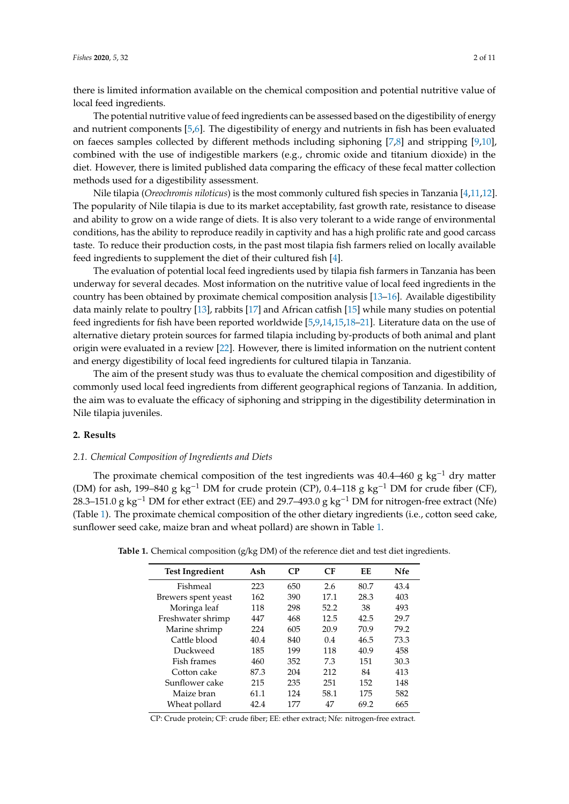there is limited information available on the chemical composition and potential nutritive value of local feed ingredients.

The potential nutritive value of feed ingredients can be assessed based on the digestibility of energy and nutrient components [\[5](#page-8-4)[,6\]](#page-8-5). The digestibility of energy and nutrients in fish has been evaluated on faeces samples collected by different methods including siphoning [\[7,](#page-8-6)[8\]](#page-8-7) and stripping [\[9,](#page-8-8)[10\]](#page-8-9), combined with the use of indigestible markers (e.g., chromic oxide and titanium dioxide) in the diet. However, there is limited published data comparing the efficacy of these fecal matter collection methods used for a digestibility assessment.

Nile tilapia (*Oreochromis niloticus*) is the most commonly cultured fish species in Tanzania [\[4](#page-8-3)[,11](#page-8-10)[,12\]](#page-8-11). The popularity of Nile tilapia is due to its market acceptability, fast growth rate, resistance to disease and ability to grow on a wide range of diets. It is also very tolerant to a wide range of environmental conditions, has the ability to reproduce readily in captivity and has a high prolific rate and good carcass taste. To reduce their production costs, in the past most tilapia fish farmers relied on locally available feed ingredients to supplement the diet of their cultured fish [\[4\]](#page-8-3).

The evaluation of potential local feed ingredients used by tilapia fish farmers in Tanzania has been underway for several decades. Most information on the nutritive value of local feed ingredients in the country has been obtained by proximate chemical composition analysis [\[13](#page-8-12)[–16\]](#page-9-0). Available digestibility data mainly relate to poultry [\[13\]](#page-8-12), rabbits [\[17\]](#page-9-1) and African catfish [\[15\]](#page-8-13) while many studies on potential feed ingredients for fish have been reported worldwide [\[5](#page-8-4)[,9](#page-8-8)[,14,](#page-8-14)[15,](#page-8-13)[18](#page-9-2)[–21\]](#page-9-3). Literature data on the use of alternative dietary protein sources for farmed tilapia including by-products of both animal and plant origin were evaluated in a review [\[22\]](#page-9-4). However, there is limited information on the nutrient content and energy digestibility of local feed ingredients for cultured tilapia in Tanzania.

The aim of the present study was thus to evaluate the chemical composition and digestibility of commonly used local feed ingredients from different geographical regions of Tanzania. In addition, the aim was to evaluate the efficacy of siphoning and stripping in the digestibility determination in Nile tilapia juveniles.

# **2. Results**

## *2.1. Chemical Composition of Ingredients and Diets*

The proximate chemical composition of the test ingredients was 40.4–460 g kg<sup>-1</sup> dry matter (DM) for ash, 199–840 g kg−<sup>1</sup> DM for crude protein (CP), 0.4–118 g kg−<sup>1</sup> DM for crude fiber (CF), 28.3–151.0 g kg<sup>-1</sup> DM for ether extract (EE) and 29.7–493.0 g kg<sup>-1</sup> DM for nitrogen-free extract (Nfe) (Table [1\)](#page-1-0). The proximate chemical composition of the other dietary ingredients (i.e., cotton seed cake, sunflower seed cake, maize bran and wheat pollard) are shown in Table [1.](#page-1-0)

| <b>Test Ingredient</b> | Ash  | $\mathbf{C}$ | CF   | EЕ   | Nfe  |
|------------------------|------|--------------|------|------|------|
| Fishmeal               | 223  | 650          | 2.6  | 80.7 | 43.4 |
| Brewers spent yeast    | 162  | 390          | 17.1 | 28.3 | 403  |
| Moringa leaf           | 118  | 298          | 52.2 | 38   | 493  |
| Freshwater shrimp      | 447  | 468          | 12.5 | 42.5 | 29.7 |
| Marine shrimp          | 224  | 605          | 20.9 | 70.9 | 79.2 |
| Cattle blood           | 40.4 | 840          | 0.4  | 46.5 | 73.3 |
| Duckweed               | 185  | 199          | 118  | 40.9 | 458  |
| Fish frames            | 460  | 352          | 7.3  | 151  | 30.3 |
| Cotton cake            | 87.3 | 204          | 212  | 84   | 413  |
| Sunflower cake         | 215  | 235          | 251  | 152  | 148  |
| Maize bran             | 61.1 | 124          | 58.1 | 175  | 582  |
| Wheat pollard          | 42.4 | 177          | 47   | 69.2 | 665  |

<span id="page-1-0"></span>**Table 1.** Chemical composition (g/kg DM) of the reference diet and test diet ingredients.

CP: Crude protein; CF: crude fiber; EE: ether extract; Nfe: nitrogen-free extract.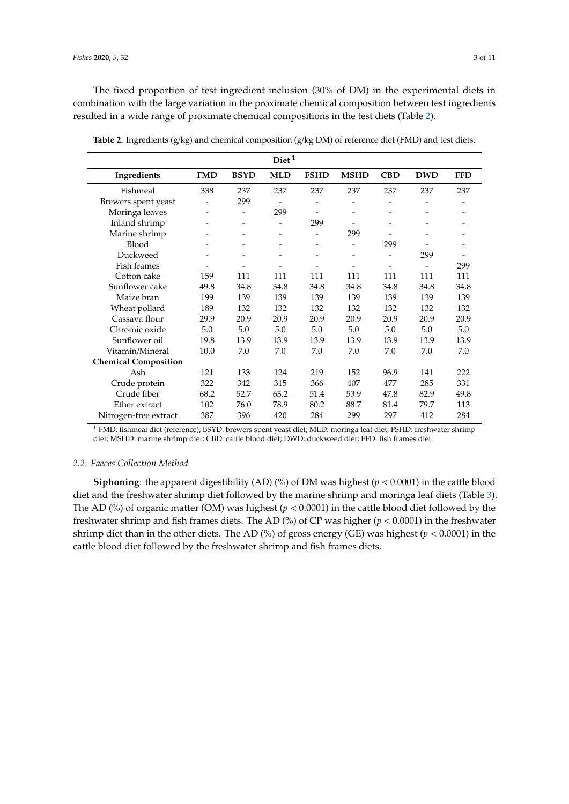The fixed proportion of test ingredient inclusion (30% of DM) in the experimental diets in combination with the large variation in the proximate chemical composition between test ingredients resulted in a wide range of proximate chemical compositions in the test diets (Table [2\)](#page-2-0).

|                             |            |                          | Diet <sup>1</sup>        |                              |                          |                          |                          |            |
|-----------------------------|------------|--------------------------|--------------------------|------------------------------|--------------------------|--------------------------|--------------------------|------------|
| Ingredients                 | <b>FMD</b> | <b>BSYD</b>              | <b>MLD</b>               | <b>FSHD</b>                  | <b>MSHD</b>              | <b>CBD</b>               | <b>DWD</b>               | <b>FFD</b> |
| Fishmeal                    | 338        | 237                      | 237                      | 237                          | 237                      | 237                      | 237                      | 237        |
| Brewers spent yeast         |            | 299                      |                          |                              |                          |                          |                          |            |
| Moringa leaves              |            |                          | 299                      |                              |                          |                          |                          |            |
| Inland shrimp               |            |                          |                          | 299                          |                          |                          |                          |            |
| Marine shrimp               |            |                          |                          | $\overline{\phantom{0}}$     | 299                      |                          |                          |            |
| <b>Blood</b>                |            |                          |                          | $\qquad \qquad \blacksquare$ | $\overline{\phantom{a}}$ | 299                      |                          |            |
| Duckweed                    |            | $\overline{\phantom{a}}$ | $\overline{\phantom{0}}$ | $\qquad \qquad \blacksquare$ | $\qquad \qquad -$        | $\overline{\phantom{0}}$ | 299                      |            |
| Fish frames                 |            |                          |                          | $\overline{\phantom{0}}$     |                          |                          | $\overline{\phantom{0}}$ | 299        |
| Cotton cake                 | 159        | 111                      | 111                      | 111                          | 111                      | 111                      | 111                      | 111        |
| Sunflower cake              | 49.8       | 34.8                     | 34.8                     | 34.8                         | 34.8                     | 34.8                     | 34.8                     | 34.8       |
| Maize bran                  | 199        | 139                      | 139                      | 139                          | 139                      | 139                      | 139                      | 139        |
| Wheat pollard               | 189        | 132                      | 132                      | 132                          | 132                      | 132                      | 132                      | 132        |
| Cassava flour               | 29.9       | 20.9                     | 20.9                     | 20.9                         | 20.9                     | 20.9                     | 20.9                     | 20.9       |
| Chromic oxide               | 5.0        | 5.0                      | 5.0                      | 5.0                          | 5.0                      | 5.0                      | 5.0                      | 5.0        |
| Sunflower oil               | 19.8       | 13.9                     | 13.9                     | 13.9                         | 13.9                     | 13.9                     | 13.9                     | 13.9       |
| Vitamin/Mineral             | 10.0       | 7.0                      | 7.0                      | 7.0                          | 7.0                      | 7.0                      | 7.0                      | 7.0        |
| <b>Chemical Composition</b> |            |                          |                          |                              |                          |                          |                          |            |
| Ash                         | 121        | 133                      | 124                      | 219                          | 152                      | 96.9                     | 141                      | 222        |
| Crude protein               | 322        | 342                      | 315                      | 366                          | 407                      | 477                      | 285                      | 331        |
| Crude fiber                 | 68.2       | 52.7                     | 63.2                     | 51.4                         | 53.9                     | 47.8                     | 82.9                     | 49.8       |
| Ether extract               | 102        | 76.0                     | 78.9                     | 80.2                         | 88.7                     | 81.4                     | 79.7                     | 113        |
| Nitrogen-free extract       | 387        | 396                      | 420                      | 284                          | 299                      | 297                      | 412                      | 284        |

<span id="page-2-0"></span>**Table 2.** Ingredients (g/kg) and chemical composition (g/kg DM) of reference diet (FMD) and test diets.

<sup>1</sup> FMD: fishmeal diet (reference); BSYD: brewers spent yeast diet; MLD: moringa leaf diet; FSHD: freshwater shrimp diet; MSHD: marine shrimp diet; CBD: cattle blood diet; DWD: duckweed diet; FFD: fish frames diet.

## *2.2. Faeces Collection Method*

**Siphoning**: the apparent digestibility (AD) (%) of DM was highest ( $p < 0.0001$ ) in the cattle blood diet and the freshwater shrimp diet followed by the marine shrimp and moringa leaf diets (Table [3\)](#page-3-0). The AD (%) of organic matter (OM) was highest ( $p < 0.0001$ ) in the cattle blood diet followed by the freshwater shrimp and fish frames diets. The AD (%) of CP was higher (*p* < 0.0001) in the freshwater shrimp diet than in the other diets. The AD (%) of gross energy (GE) was highest (*p* < 0.0001) in the cattle blood diet followed by the freshwater shrimp and fish frames diets.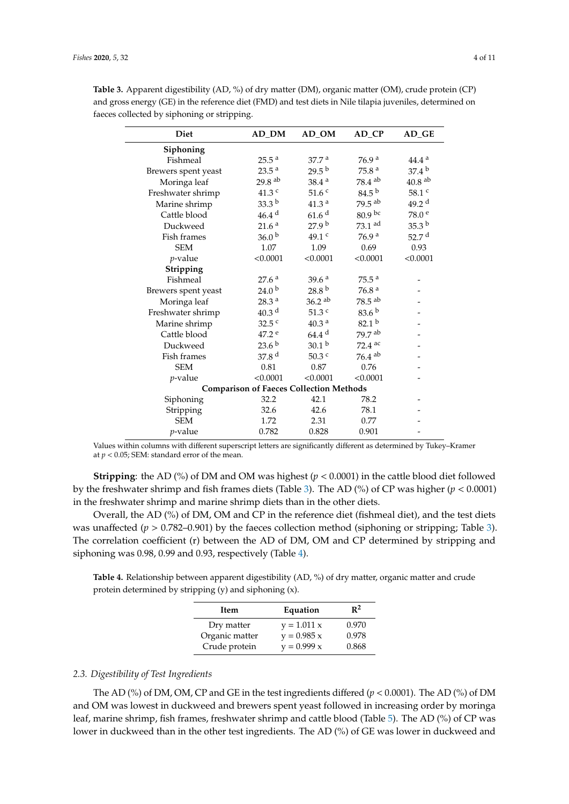| <b>Diet</b>                                    | AD_DM                | $AD_OM$              | AD_CP                | AD_GE                |  |  |  |
|------------------------------------------------|----------------------|----------------------|----------------------|----------------------|--|--|--|
| Siphoning                                      |                      |                      |                      |                      |  |  |  |
| Fishmeal                                       | 25.5 <sup>a</sup>    | 37.7 <sup>a</sup>    | 76.9 <sup>a</sup>    | 44.4 <sup>a</sup>    |  |  |  |
| Brewers spent yeast                            | 23.5 <sup>a</sup>    | $29.5^{b}$           | 75.8 <sup>a</sup>    | 37.4 <sup>b</sup>    |  |  |  |
| Moringa leaf                                   | $29.8$ <sup>ab</sup> | 38.4 <sup>a</sup>    | $78.4~^{\rm ab}$     | $40.8$ <sup>ab</sup> |  |  |  |
| Freshwater shrimp                              | $41.3$ $^{\rm c}$    | 51.6 <sup>c</sup>    | $84.5^{b}$           | $58.1$ $^{\rm c}$    |  |  |  |
| Marine shrimp                                  | $33.3^{b}$           | 41.3 <sup>a</sup>    | $79.5$ <sup>ab</sup> | 49.2 <sup>d</sup>    |  |  |  |
| Cattle blood                                   | 46.4 <sup>d</sup>    | 61.6 <sup>d</sup>    | 80.9 bc              | $78.0$ $^{\rm e}$    |  |  |  |
| Duckweed                                       | $21.6$ $^{\rm a}$    | 27.9 <sup>b</sup>    | $73.1$ ad            | 35.3 <sup>b</sup>    |  |  |  |
| <b>Fish frames</b>                             | 36.0 <sup>b</sup>    | 49.1 c               | 76.9 <sup>a</sup>    | 52.7 $d$             |  |  |  |
| <b>SEM</b>                                     | 1.07                 | 1.09                 | 0.69                 | 0.93                 |  |  |  |
| $p$ -value                                     | < 0.0001             | < 0.0001             | < 0.0001             | < 0.0001             |  |  |  |
| Stripping                                      |                      |                      |                      |                      |  |  |  |
| Fishmeal                                       | 27.6 <sup>a</sup>    | 39.6 <sup>a</sup>    | 75.5 <sup>a</sup>    |                      |  |  |  |
| Brewers spent yeast                            | 24.0 <sup>b</sup>    | 28.8 <sup>b</sup>    | 76.8 $a$             |                      |  |  |  |
| Moringa leaf                                   | 28.3 <sup>a</sup>    | $36.2$ <sup>ab</sup> | $78.5$ <sup>ab</sup> |                      |  |  |  |
| Freshwater shrimp                              | 40.3 <sup>d</sup>    | $51.3$ $\degree$     | 83.6 <sup>b</sup>    |                      |  |  |  |
| Marine shrimp                                  | $32.5$ $c$           | $40.3$ $^{\rm a}$    | 82.1 <sup>b</sup>    |                      |  |  |  |
| Cattle blood                                   | 47.2 e               | $64.4$ <sup>d</sup>  | 79.7 ab              |                      |  |  |  |
| Duckweed                                       | 23.6 <sup>b</sup>    | 30.1 <sup>b</sup>    | $72.4$ <sup>ac</sup> |                      |  |  |  |
| Fish frames                                    | 37.8 $d$             | $50.3$ $\degree$     | $76.4$ <sup>ab</sup> |                      |  |  |  |
| <b>SEM</b>                                     | 0.81                 | 0.87                 | 0.76                 |                      |  |  |  |
| <i>p</i> -value                                | < 0.0001             | < 0.0001             | < 0.0001             |                      |  |  |  |
| <b>Comparison of Faeces Collection Methods</b> |                      |                      |                      |                      |  |  |  |
| Siphoning                                      | 32.2                 | 42.1                 | 78.2                 |                      |  |  |  |
| Stripping                                      | 32.6                 | 42.6                 | 78.1                 |                      |  |  |  |
| <b>SEM</b>                                     | 1.72                 | 2.31                 | 0.77                 |                      |  |  |  |
| <i>p</i> -value                                | 0.782                | 0.828                | 0.901                |                      |  |  |  |

<span id="page-3-0"></span>**Table 3.** Apparent digestibility (AD, %) of dry matter (DM), organic matter (OM), crude protein (CP) and gross energy (GE) in the reference diet (FMD) and test diets in Nile tilapia juveniles, determined on faeces collected by siphoning or stripping.

Values within columns with different superscript letters are significantly different as determined by Tukey–Kramer at  $p < 0.05$ ; SEM: standard error of the mean.

**Stripping**: the AD (%) of DM and OM was highest (*p* < 0.0001) in the cattle blood diet followed by the freshwater shrimp and fish frames diets (Table [3\)](#page-3-0). The AD (%) of CP was higher (*p* < 0.0001) in the freshwater shrimp and marine shrimp diets than in the other diets.

Overall, the AD (%) of DM, OM and CP in the reference diet (fishmeal diet), and the test diets was unaffected  $(p > 0.782-0.901)$  by the faeces collection method (siphoning or stripping; Table [3\)](#page-3-0). The correlation coefficient (r) between the AD of DM, OM and CP determined by stripping and siphoning was 0.98, 0.99 and 0.93, respectively (Table [4\)](#page-3-1).

<span id="page-3-1"></span>**Table 4.** Relationship between apparent digestibility (AD, %) of dry matter, organic matter and crude protein determined by stripping (y) and siphoning (x).

| Item           | Equation      | $\mathbf{R}^2$ |
|----------------|---------------|----------------|
| Dry matter     | $y = 1.011 x$ | 0.970          |
| Organic matter | $y = 0.985 x$ | 0.978          |
| Crude protein  | $y = 0.999 x$ | 0.868          |

## *2.3. Digestibility of Test Ingredients*

The AD (%) of DM, OM, CP and GE in the test ingredients differed  $(p < 0.0001)$ . The AD (%) of DM and OM was lowest in duckweed and brewers spent yeast followed in increasing order by moringa leaf, marine shrimp, fish frames, freshwater shrimp and cattle blood (Table [5\)](#page-4-0). The AD (%) of CP was lower in duckweed than in the other test ingredients. The AD (%) of GE was lower in duckweed and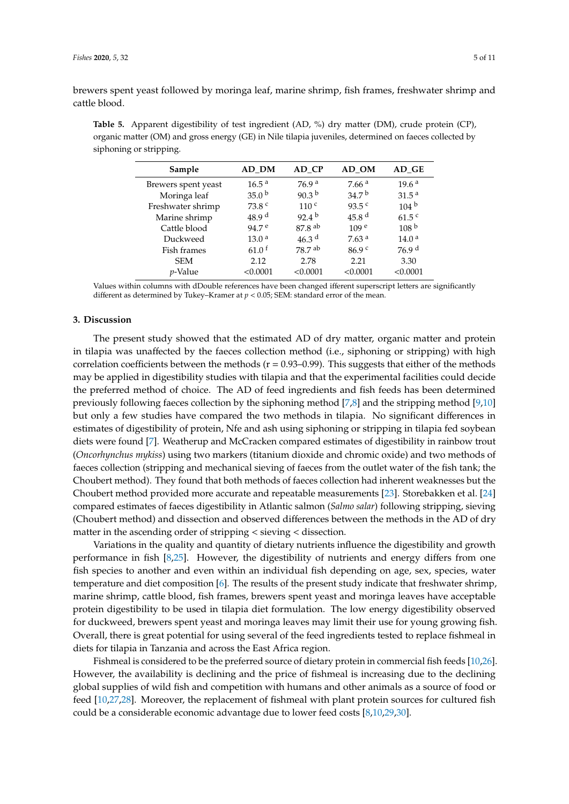brewers spent yeast followed by moringa leaf, marine shrimp, fish frames, freshwater shrimp and cattle blood.

<span id="page-4-0"></span>**Table 5.** Apparent digestibility of test ingredient (AD, %) dry matter (DM), crude protein (CP), organic matter (OM) and gross energy (GE) in Nile tilapia juveniles, determined on faeces collected by siphoning or stripping.

| Sample              | AD DM               | AD CP                | AD OM             | AD GE             |
|---------------------|---------------------|----------------------|-------------------|-------------------|
| Brewers spent yeast | 16.5 <sup>a</sup>   | 76.9 <sup>a</sup>    | 7.66 <sup>a</sup> | 19.6 <sup>a</sup> |
| Moringa leaf        | 35.0 <sup>b</sup>   | 90.3 $^{\rm b}$      | 34.7 <sup>b</sup> | 31.5 <sup>a</sup> |
| Freshwater shrimp   | 73.8 <sup>c</sup>   | 110 <sup>c</sup>     | $93.5^{\circ}$    | 104 <sup>b</sup>  |
| Marine shrimp       | 48.9 <sup>d</sup>   | $92.4^{\mathrm{b}}$  | 45.8 $d$          | $61.5^{\circ}$    |
| Cattle blood        | 94.7 <sup>e</sup>   | $87.8$ <sup>ab</sup> | 109 <sup>e</sup>  | 108 <sup>b</sup>  |
| Duckweed            | 13.0 <sup>a</sup>   | 46.3 $d$             | 7.63 <sup>a</sup> | 14.0 <sup>a</sup> |
| Fish frames         | $61.0$ <sup>f</sup> | $78.7$ <sup>ab</sup> | 86.9 <sup>c</sup> | 76.9 <sup>d</sup> |
| <b>SEM</b>          | 2.12                | 2.78                 | 2.21              | 3.30              |
| <i>p</i> -Value     | < 0.0001            | < 0.0001             | < 0.0001          | < 0.0001          |

Values within columns with dDouble references have been changed ifferent superscript letters are significantly different as determined by Tukey–Kramer at *p* < 0.05; SEM: standard error of the mean.

## **3. Discussion**

The present study showed that the estimated AD of dry matter, organic matter and protein in tilapia was unaffected by the faeces collection method (i.e., siphoning or stripping) with high correlation coefficients between the methods ( $r = 0.93-0.99$ ). This suggests that either of the methods may be applied in digestibility studies with tilapia and that the experimental facilities could decide the preferred method of choice. The AD of feed ingredients and fish feeds has been determined previously following faeces collection by the siphoning method [\[7,](#page-8-6)[8\]](#page-8-7) and the stripping method [\[9](#page-8-8)[,10\]](#page-8-9) but only a few studies have compared the two methods in tilapia. No significant differences in estimates of digestibility of protein, Nfe and ash using siphoning or stripping in tilapia fed soybean diets were found [\[7\]](#page-8-6). Weatherup and McCracken compared estimates of digestibility in rainbow trout (*Oncorhynchus mykiss*) using two markers (titanium dioxide and chromic oxide) and two methods of faeces collection (stripping and mechanical sieving of faeces from the outlet water of the fish tank; the Choubert method). They found that both methods of faeces collection had inherent weaknesses but the Choubert method provided more accurate and repeatable measurements [\[23\]](#page-9-5). Storebakken et al. [\[24\]](#page-9-6) compared estimates of faeces digestibility in Atlantic salmon (*Salmo salar*) following stripping, sieving (Choubert method) and dissection and observed differences between the methods in the AD of dry matter in the ascending order of stripping < sieving < dissection.

Variations in the quality and quantity of dietary nutrients influence the digestibility and growth performance in fish [\[8](#page-8-7)[,25\]](#page-9-7). However, the digestibility of nutrients and energy differs from one fish species to another and even within an individual fish depending on age, sex, species, water temperature and diet composition [\[6\]](#page-8-5). The results of the present study indicate that freshwater shrimp, marine shrimp, cattle blood, fish frames, brewers spent yeast and moringa leaves have acceptable protein digestibility to be used in tilapia diet formulation. The low energy digestibility observed for duckweed, brewers spent yeast and moringa leaves may limit their use for young growing fish. Overall, there is great potential for using several of the feed ingredients tested to replace fishmeal in diets for tilapia in Tanzania and across the East Africa region.

Fishmeal is considered to be the preferred source of dietary protein in commercial fish feeds [\[10](#page-8-9)[,26\]](#page-9-8). However, the availability is declining and the price of fishmeal is increasing due to the declining global supplies of wild fish and competition with humans and other animals as a source of food or feed [\[10,](#page-8-9)[27,](#page-9-9)[28\]](#page-9-10). Moreover, the replacement of fishmeal with plant protein sources for cultured fish could be a considerable economic advantage due to lower feed costs [\[8,](#page-8-7)[10](#page-8-9)[,29](#page-9-11)[,30\]](#page-9-12).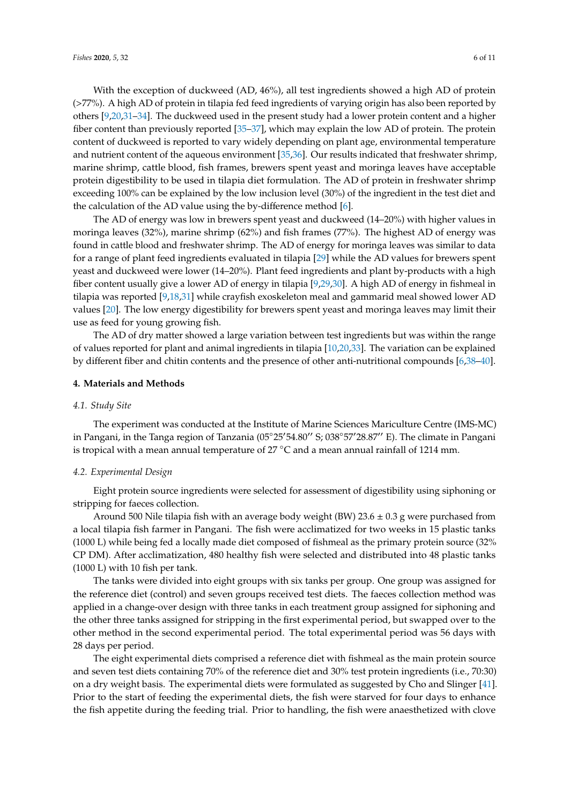With the exception of duckweed (AD, 46%), all test ingredients showed a high AD of protein (>77%). A high AD of protein in tilapia fed feed ingredients of varying origin has also been reported by others [\[9,](#page-8-8)[20,](#page-9-13)[31–](#page-9-14)[34\]](#page-9-15). The duckweed used in the present study had a lower protein content and a higher fiber content than previously reported [\[35](#page-9-16)[–37\]](#page-10-0), which may explain the low AD of protein. The protein content of duckweed is reported to vary widely depending on plant age, environmental temperature and nutrient content of the aqueous environment [\[35](#page-9-16)[,36\]](#page-9-17). Our results indicated that freshwater shrimp, marine shrimp, cattle blood, fish frames, brewers spent yeast and moringa leaves have acceptable protein digestibility to be used in tilapia diet formulation. The AD of protein in freshwater shrimp exceeding 100% can be explained by the low inclusion level (30%) of the ingredient in the test diet and the calculation of the AD value using the by-difference method [\[6\]](#page-8-5).

The AD of energy was low in brewers spent yeast and duckweed (14–20%) with higher values in moringa leaves (32%), marine shrimp (62%) and fish frames (77%). The highest AD of energy was found in cattle blood and freshwater shrimp. The AD of energy for moringa leaves was similar to data for a range of plant feed ingredients evaluated in tilapia [\[29\]](#page-9-11) while the AD values for brewers spent yeast and duckweed were lower (14–20%). Plant feed ingredients and plant by-products with a high fiber content usually give a lower AD of energy in tilapia [\[9,](#page-8-8)[29,](#page-9-11)[30\]](#page-9-12). A high AD of energy in fishmeal in tilapia was reported [\[9,](#page-8-8)[18](#page-9-2)[,31\]](#page-9-14) while crayfish exoskeleton meal and gammarid meal showed lower AD values [\[20\]](#page-9-13). The low energy digestibility for brewers spent yeast and moringa leaves may limit their use as feed for young growing fish.

The AD of dry matter showed a large variation between test ingredients but was within the range of values reported for plant and animal ingredients in tilapia [\[10,](#page-8-9)[20,](#page-9-13)[33\]](#page-9-18). The variation can be explained by different fiber and chitin contents and the presence of other anti-nutritional compounds [\[6,](#page-8-5)[38–](#page-10-1)[40\]](#page-10-2).

#### **4. Materials and Methods**

#### *4.1. Study Site*

The experiment was conducted at the Institute of Marine Sciences Mariculture Centre (IMS-MC) in Pangani, in the Tanga region of Tanzania (05°25'54.80" S; 038°57'28.87" E). The climate in Pangani is tropical with a mean annual temperature of 27 ◦C and a mean annual rainfall of 1214 mm.

#### *4.2. Experimental Design*

Eight protein source ingredients were selected for assessment of digestibility using siphoning or stripping for faeces collection.

Around 500 Nile tilapia fish with an average body weight (BW)  $23.6 \pm 0.3$  g were purchased from a local tilapia fish farmer in Pangani. The fish were acclimatized for two weeks in 15 plastic tanks (1000 L) while being fed a locally made diet composed of fishmeal as the primary protein source (32% CP DM). After acclimatization, 480 healthy fish were selected and distributed into 48 plastic tanks (1000 L) with 10 fish per tank.

The tanks were divided into eight groups with six tanks per group. One group was assigned for the reference diet (control) and seven groups received test diets. The faeces collection method was applied in a change-over design with three tanks in each treatment group assigned for siphoning and the other three tanks assigned for stripping in the first experimental period, but swapped over to the other method in the second experimental period. The total experimental period was 56 days with 28 days per period.

The eight experimental diets comprised a reference diet with fishmeal as the main protein source and seven test diets containing 70% of the reference diet and 30% test protein ingredients (i.e., 70:30) on a dry weight basis. The experimental diets were formulated as suggested by Cho and Slinger [\[41\]](#page-10-3). Prior to the start of feeding the experimental diets, the fish were starved for four days to enhance the fish appetite during the feeding trial. Prior to handling, the fish were anaesthetized with clove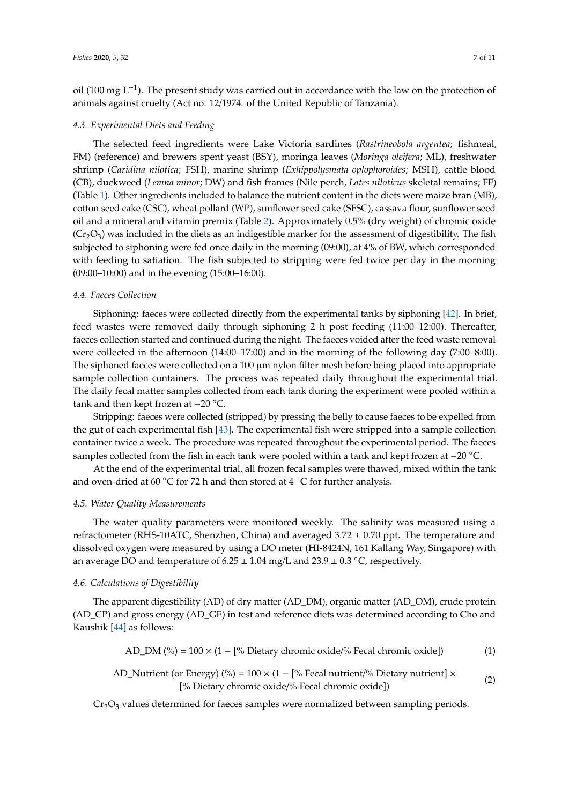oil (100 mg L<sup>-1</sup>). The present study was carried out in accordance with the law on the protection of animals against cruelty (Act no. 12/1974. of the United Republic of Tanzania).

## *4.3. Experimental Diets and Feeding*

The selected feed ingredients were Lake Victoria sardines (*Rastrineobola argentea*; fishmeal, FM) (reference) and brewers spent yeast (BSY), moringa leaves (*Moringa oleifera*; ML), freshwater shrimp (*Caridina nilotica*; FSH), marine shrimp (*Exhippolysmata oplophoroides*; MSH), cattle blood (CB), duckweed (*Lemna minor*; DW) and fish frames (Nile perch, *Lates niloticus* skeletal remains; FF) (Table [1\)](#page-1-0). Other ingredients included to balance the nutrient content in the diets were maize bran (MB), cotton seed cake (CSC), wheat pollard (WP), sunflower seed cake (SFSC), cassava flour, sunflower seed oil and a mineral and vitamin premix (Table [2\)](#page-2-0). Approximately 0.5% (dry weight) of chromic oxide  $(Cr<sub>2</sub>O<sub>3</sub>)$  was included in the diets as an indigestible marker for the assessment of digestibility. The fish subjected to siphoning were fed once daily in the morning (09:00), at 4% of BW, which corresponded with feeding to satiation. The fish subjected to stripping were fed twice per day in the morning (09:00–10:00) and in the evening (15:00–16:00).

## *4.4. Faeces Collection*

Siphoning: faeces were collected directly from the experimental tanks by siphoning [\[42\]](#page-10-4). In brief, feed wastes were removed daily through siphoning 2 h post feeding (11:00–12:00). Thereafter, faeces collection started and continued during the night. The faeces voided after the feed waste removal were collected in the afternoon (14:00–17:00) and in the morning of the following day (7:00–8:00). The siphoned faeces were collected on a 100  $\mu$ m nylon filter mesh before being placed into appropriate sample collection containers. The process was repeated daily throughout the experimental trial. The daily fecal matter samples collected from each tank during the experiment were pooled within a tank and then kept frozen at −20 ◦C.

Stripping: faeces were collected (stripped) by pressing the belly to cause faeces to be expelled from the gut of each experimental fish [\[43\]](#page-10-5). The experimental fish were stripped into a sample collection container twice a week. The procedure was repeated throughout the experimental period. The faeces samples collected from the fish in each tank were pooled within a tank and kept frozen at −20 °C.

At the end of the experimental trial, all frozen fecal samples were thawed, mixed within the tank and oven-dried at 60 °C for 72 h and then stored at 4 °C for further analysis.

## *4.5. Water Quality Measurements*

The water quality parameters were monitored weekly. The salinity was measured using a refractometer (RHS-10ATC, Shenzhen, China) and averaged 3.72 ± 0.70 ppt. The temperature and dissolved oxygen were measured by using a DO meter (HI-8424N, 161 Kallang Way, Singapore) with an average DO and temperature of  $6.25 \pm 1.04$  mg/L and  $23.9 \pm 0.3$  °C, respectively.

#### *4.6. Calculations of Digestibility*

The apparent digestibility (AD) of dry matter (AD\_DM), organic matter (AD\_OM), crude protein (AD\_CP) and gross energy (AD\_GE) in test and reference diets was determined according to Cho and Kaushik [\[44\]](#page-10-6) as follows:

AD\_DM (%) = 
$$
100 \times (1 - [%
$$
 Dietary chronic oxide/% Fecal chronic oxide]) (1)

AD\_Nutrient (or Energy) (%) = 
$$
100 \times (1 - [% Fecal nutrient/\% Dietary nutrient] \times [% Dietary chronic oxide]/% Fecal chronic oxide])
$$
 (2)

 $Cr_2O_3$  values determined for faeces samples were normalized between sampling periods.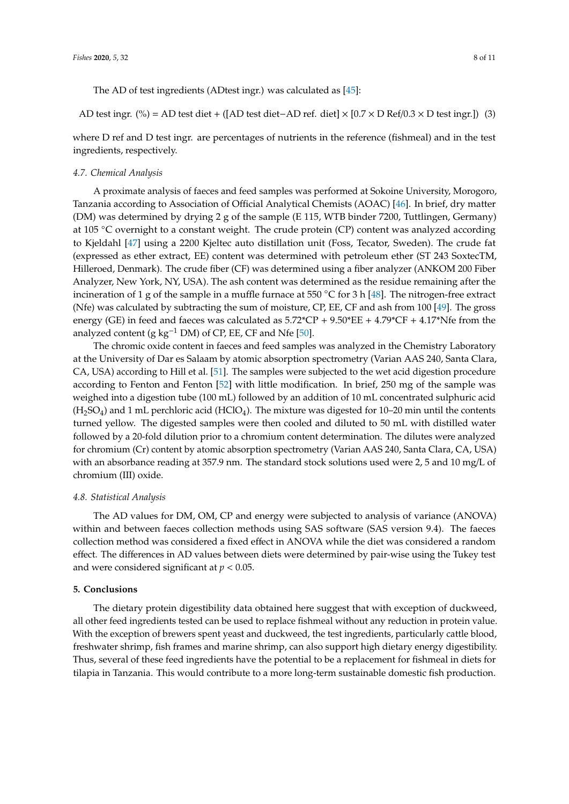The AD of test ingredients (ADtest ingr.) was calculated as [\[45\]](#page-10-7):

AD test ingr. (%) = AD test diet + ([AD test diet−AD ref. diet] × [0.7 × D Ref/0.3 × D test ingr.]) (3)

where D ref and D test ingr. are percentages of nutrients in the reference (fishmeal) and in the test ingredients, respectively.

#### *4.7. Chemical Analysis*

A proximate analysis of faeces and feed samples was performed at Sokoine University, Morogoro, Tanzania according to Association of Official Analytical Chemists (AOAC) [\[46\]](#page-10-8). In brief, dry matter (DM) was determined by drying 2 g of the sample (E 115, WTB binder 7200, Tuttlingen, Germany) at 105 ◦C overnight to a constant weight. The crude protein (CP) content was analyzed according to Kjeldahl [\[47\]](#page-10-9) using a 2200 Kjeltec auto distillation unit (Foss, Tecator, Sweden). The crude fat (expressed as ether extract, EE) content was determined with petroleum ether (ST 243 SoxtecTM, Hilleroed, Denmark). The crude fiber (CF) was determined using a fiber analyzer (ANKOM 200 Fiber Analyzer, New York, NY, USA). The ash content was determined as the residue remaining after the incineration of 1 g of the sample in a muffle furnace at 550 °C for 3 h [\[48\]](#page-10-10). The nitrogen-free extract (Nfe) was calculated by subtracting the sum of moisture, CP, EE, CF and ash from 100 [\[49\]](#page-10-11). The gross energy (GE) in feed and faeces was calculated as  $5.72^{\ast}CP + 9.50^{\ast}EE + 4.79^{\ast}CF + 4.17^{\ast}Nfe$  from the analyzed content (g kg<sup>-1</sup> DM) of CP, EE, CF and Nfe [\[50\]](#page-10-12).

The chromic oxide content in faeces and feed samples was analyzed in the Chemistry Laboratory at the University of Dar es Salaam by atomic absorption spectrometry (Varian AAS 240, Santa Clara, CA, USA) according to Hill et al. [\[51\]](#page-10-13). The samples were subjected to the wet acid digestion procedure according to Fenton and Fenton [\[52\]](#page-10-14) with little modification. In brief, 250 mg of the sample was weighed into a digestion tube (100 mL) followed by an addition of 10 mL concentrated sulphuric acid  $(H<sub>2</sub>SO<sub>4</sub>)$  and 1 mL perchloric acid (HClO<sub>4</sub>). The mixture was digested for 10–20 min until the contents turned yellow. The digested samples were then cooled and diluted to 50 mL with distilled water followed by a 20-fold dilution prior to a chromium content determination. The dilutes were analyzed for chromium (Cr) content by atomic absorption spectrometry (Varian AAS 240, Santa Clara, CA, USA) with an absorbance reading at 357.9 nm. The standard stock solutions used were 2, 5 and 10 mg/L of chromium (III) oxide.

#### *4.8. Statistical Analysis*

The AD values for DM, OM, CP and energy were subjected to analysis of variance (ANOVA) within and between faeces collection methods using SAS software (SAS version 9.4). The faeces collection method was considered a fixed effect in ANOVA while the diet was considered a random effect. The differences in AD values between diets were determined by pair-wise using the Tukey test and were considered significant at *p* < 0.05.

## **5. Conclusions**

The dietary protein digestibility data obtained here suggest that with exception of duckweed, all other feed ingredients tested can be used to replace fishmeal without any reduction in protein value. With the exception of brewers spent yeast and duckweed, the test ingredients, particularly cattle blood, freshwater shrimp, fish frames and marine shrimp, can also support high dietary energy digestibility. Thus, several of these feed ingredients have the potential to be a replacement for fishmeal in diets for tilapia in Tanzania. This would contribute to a more long-term sustainable domestic fish production.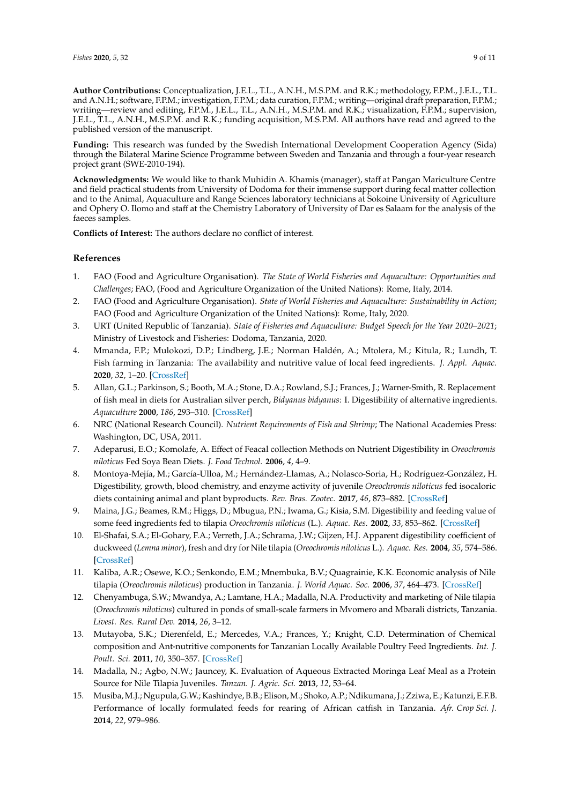**Author Contributions:** Conceptualization, J.E.L., T.L., A.N.H., M.S.P.M. and R.K.; methodology, F.P.M., J.E.L., T.L. and A.N.H.; software, F.P.M.; investigation, F.P.M.; data curation, F.P.M.; writing—original draft preparation, F.P.M.; writing—review and editing, F.P.M., J.E.L., T.L., A.N.H., M.S.P.M. and R.K.; visualization, F.P.M.; supervision, J.E.L., T.L., A.N.H., M.S.P.M. and R.K.; funding acquisition, M.S.P.M. All authors have read and agreed to the published version of the manuscript.

**Funding:** This research was funded by the Swedish International Development Cooperation Agency (Sida) through the Bilateral Marine Science Programme between Sweden and Tanzania and through a four-year research project grant (SWE-2010-194).

**Acknowledgments:** We would like to thank Muhidin A. Khamis (manager), staff at Pangan Mariculture Centre and field practical students from University of Dodoma for their immense support during fecal matter collection and to the Animal, Aquaculture and Range Sciences laboratory technicians at Sokoine University of Agriculture and Ophery O. Ilomo and staff at the Chemistry Laboratory of University of Dar es Salaam for the analysis of the faeces samples.

**Conflicts of Interest:** The authors declare no conflict of interest.

# **References**

- <span id="page-8-0"></span>1. FAO (Food and Agriculture Organisation). *The State of World Fisheries and Aquaculture: Opportunities and Challenges*; FAO, (Food and Agriculture Organization of the United Nations): Rome, Italy, 2014.
- <span id="page-8-1"></span>2. FAO (Food and Agriculture Organisation). *State of World Fisheries and Aquaculture: Sustainability in Action*; FAO (Food and Agriculture Organization of the United Nations): Rome, Italy, 2020.
- <span id="page-8-2"></span>3. URT (United Republic of Tanzania). *State of Fisheries and Aquaculture: Budget Speech for the Year 2020–2021*; Ministry of Livestock and Fisheries: Dodoma, Tanzania, 2020.
- <span id="page-8-3"></span>4. Mmanda, F.P.; Mulokozi, D.P.; Lindberg, J.E.; Norman Haldén, A.; Mtolera, M.; Kitula, R.; Lundh, T. Fish farming in Tanzania: The availability and nutritive value of local feed ingredients. *J. Appl. Aquac.* **2020**, *32*, 1–20. [\[CrossRef\]](http://dx.doi.org/10.1080/10454438.2019.1708836)
- <span id="page-8-4"></span>5. Allan, G.L.; Parkinson, S.; Booth, M.A.; Stone, D.A.; Rowland, S.J.; Frances, J.; Warner-Smith, R. Replacement of fish meal in diets for Australian silver perch, *Bidyanus bidyanus*: I. Digestibility of alternative ingredients. *Aquaculture* **2000**, *186*, 293–310. [\[CrossRef\]](http://dx.doi.org/10.1016/S0044-8486(99)00380-4)
- <span id="page-8-5"></span>6. NRC (National Research Council). *Nutrient Requirements of Fish and Shrimp*; The National Academies Press: Washington, DC, USA, 2011.
- <span id="page-8-6"></span>7. Adeparusi, E.O.; Komolafe, A. Effect of Feacal collection Methods on Nutrient Digestibility in *Oreochromis niloticus* Fed Soya Bean Diets. *J. Food Technol.* **2006**, *4*, 4–9.
- <span id="page-8-7"></span>8. Montoya-Mejía, M.; García-Ulloa, M.; Hernández-Llamas, A.; Nolasco-Soria, H.; Rodríguez-González, H. Digestibility, growth, blood chemistry, and enzyme activity of juvenile *Oreochromis niloticus* fed isocaloric diets containing animal and plant byproducts. *Rev. Bras. Zootec.* **2017**, *46*, 873–882. [\[CrossRef\]](http://dx.doi.org/10.1590/s1806-92902017001200001)
- <span id="page-8-8"></span>9. Maina, J.G.; Beames, R.M.; Higgs, D.; Mbugua, P.N.; Iwama, G.; Kisia, S.M. Digestibility and feeding value of some feed ingredients fed to tilapia *Oreochromis niloticus* (L.). *Aquac. Res.* **2002**, *33*, 853–862. [\[CrossRef\]](http://dx.doi.org/10.1046/j.1365-2109.2002.00725.x)
- <span id="page-8-9"></span>10. El-Shafai, S.A.; El-Gohary, F.A.; Verreth, J.A.; Schrama, J.W.; Gijzen, H.J. Apparent digestibility coefficient of duckweed (*Lemna minor*), fresh and dry for Nile tilapia (*Oreochromis niloticus* L.). *Aquac. Res.* **2004**, *35*, 574–586. [\[CrossRef\]](http://dx.doi.org/10.1111/j.1365-2109.2004.01055.x)
- <span id="page-8-10"></span>11. Kaliba, A.R.; Osewe, K.O.; Senkondo, E.M.; Mnembuka, B.V.; Quagrainie, K.K. Economic analysis of Nile tilapia (*Oreochromis niloticus*) production in Tanzania. *J. World Aquac. Soc.* **2006**, *37*, 464–473. [\[CrossRef\]](http://dx.doi.org/10.1111/j.1749-7345.2006.00059.x)
- <span id="page-8-11"></span>12. Chenyambuga, S.W.; Mwandya, A.; Lamtane, H.A.; Madalla, N.A. Productivity and marketing of Nile tilapia (*Oreochromis niloticus*) cultured in ponds of small-scale farmers in Mvomero and Mbarali districts, Tanzania. *Livest. Res. Rural Dev.* **2014**, *26*, 3–12.
- <span id="page-8-12"></span>13. Mutayoba, S.K.; Dierenfeld, E.; Mercedes, V.A.; Frances, Y.; Knight, C.D. Determination of Chemical composition and Ant-nutritive components for Tanzanian Locally Available Poultry Feed Ingredients. *Int. J. Poult. Sci.* **2011**, *10*, 350–357. [\[CrossRef\]](http://dx.doi.org/10.3923/ijps.2011.350.357)
- <span id="page-8-14"></span>14. Madalla, N.; Agbo, N.W.; Jauncey, K. Evaluation of Aqueous Extracted Moringa Leaf Meal as a Protein Source for Nile Tilapia Juveniles. *Tanzan. J. Agric. Sci.* **2013**, *12*, 53–64.
- <span id="page-8-13"></span>15. Musiba,M.J.; Ngupula, G.W.; Kashindye, B.B.; Elison,M.; Shoko, A.P.; Ndikumana, J.; Zziwa, E.; Katunzi, E.F.B. Performance of locally formulated feeds for rearing of African catfish in Tanzania. *Afr. Crop Sci. J.* **2014**, *22*, 979–986.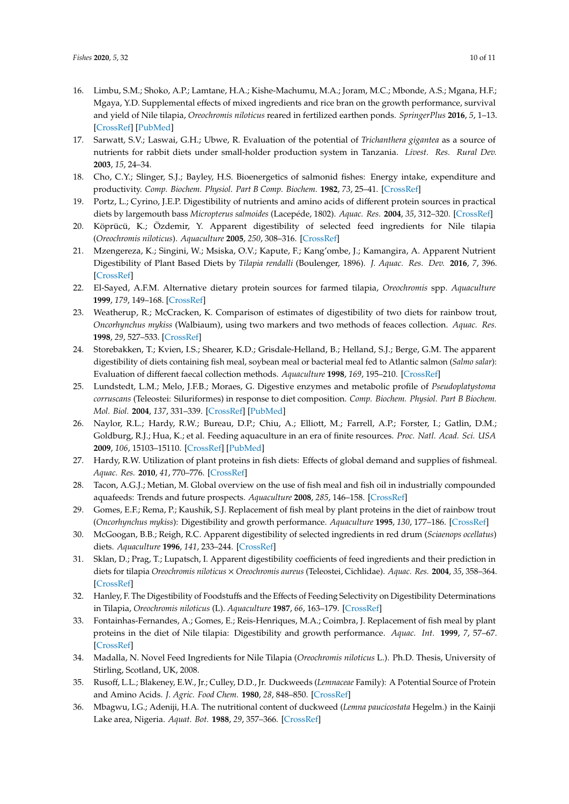- <span id="page-9-0"></span>16. Limbu, S.M.; Shoko, A.P.; Lamtane, H.A.; Kishe-Machumu, M.A.; Joram, M.C.; Mbonde, A.S.; Mgana, H.F.; Mgaya, Y.D. Supplemental effects of mixed ingredients and rice bran on the growth performance, survival and yield of Nile tilapia, *Oreochromis niloticus* reared in fertilized earthen ponds. *SpringerPlus* **2016**, *5*, 1–13. [\[CrossRef\]](http://dx.doi.org/10.1186/s40064-015-1643-x) [\[PubMed\]](http://www.ncbi.nlm.nih.gov/pubmed/26759744)
- <span id="page-9-1"></span>17. Sarwatt, S.V.; Laswai, G.H.; Ubwe, R. Evaluation of the potential of *Trichanthera gigantea* as a source of nutrients for rabbit diets under small-holder production system in Tanzania. *Livest. Res. Rural Dev.* **2003**, *15*, 24–34.
- <span id="page-9-2"></span>18. Cho, C.Y.; Slinger, S.J.; Bayley, H.S. Bioenergetics of salmonid fishes: Energy intake, expenditure and productivity. *Comp. Biochem. Physiol. Part B Comp. Biochem.* **1982**, *73*, 25–41. [\[CrossRef\]](http://dx.doi.org/10.1016/0305-0491(82)90198-5)
- 19. Portz, L.; Cyrino, J.E.P. Digestibility of nutrients and amino acids of different protein sources in practical diets by largemouth bass *Micropterus salmoides* (Lacepéde, 1802). *Aquac. Res.* **2004**, *35*, 312–320. [\[CrossRef\]](http://dx.doi.org/10.1111/j.1365-2109.2004.00984.x)
- <span id="page-9-13"></span>20. Köprücü, K.; Özdemir, Y. Apparent digestibility of selected feed ingredients for Nile tilapia (*Oreochromis niloticus*). *Aquaculture* **2005**, *250*, 308–316. [\[CrossRef\]](http://dx.doi.org/10.1016/j.aquaculture.2004.12.003)
- <span id="page-9-3"></span>21. Mzengereza, K.; Singini, W.; Msiska, O.V.; Kapute, F.; Kang'ombe, J.; Kamangira, A. Apparent Nutrient Digestibility of Plant Based Diets by *Tilapia rendalli* (Boulenger, 1896). *J. Aquac. Res. Dev.* **2016**, *7*, 396. [\[CrossRef\]](http://dx.doi.org/10.4172/2155-9546.1000396)
- <span id="page-9-4"></span>22. El-Sayed, A.F.M. Alternative dietary protein sources for farmed tilapia, *Oreochromis* spp. *Aquaculture* **1999**, *179*, 149–168. [\[CrossRef\]](http://dx.doi.org/10.1016/S0044-8486(99)00159-3)
- <span id="page-9-5"></span>23. Weatherup, R.; McCracken, K. Comparison of estimates of digestibility of two diets for rainbow trout, *Oncorhynchus mykiss* (Walbiaum), using two markers and two methods of feaces collection. *Aquac. Res.* **1998**, *29*, 527–533. [\[CrossRef\]](http://dx.doi.org/10.1046/j.1365-2109.1998.00240.x)
- <span id="page-9-6"></span>24. Storebakken, T.; Kvien, I.S.; Shearer, K.D.; Grisdale-Helland, B.; Helland, S.J.; Berge, G.M. The apparent digestibility of diets containing fish meal, soybean meal or bacterial meal fed to Atlantic salmon (*Salmo salar*): Evaluation of different faecal collection methods. *Aquaculture* **1998**, *169*, 195–210. [\[CrossRef\]](http://dx.doi.org/10.1016/S0044-8486(98)00379-2)
- <span id="page-9-7"></span>25. Lundstedt, L.M.; Melo, J.F.B.; Moraes, G. Digestive enzymes and metabolic profile of *Pseudoplatystoma corruscans* (Teleostei: Siluriformes) in response to diet composition. *Comp. Biochem. Physiol. Part B Biochem. Mol. Biol.* **2004**, *137*, 331–339. [\[CrossRef\]](http://dx.doi.org/10.1016/j.cbpc.2003.12.003) [\[PubMed\]](http://www.ncbi.nlm.nih.gov/pubmed/15050520)
- <span id="page-9-8"></span>26. Naylor, R.L.; Hardy, R.W.; Bureau, D.P.; Chiu, A.; Elliott, M.; Farrell, A.P.; Forster, I.; Gatlin, D.M.; Goldburg, R.J.; Hua, K.; et al. Feeding aquaculture in an era of finite resources. *Proc. Natl. Acad. Sci. USA* **2009**, *106*, 15103–15110. [\[CrossRef\]](http://dx.doi.org/10.1073/pnas.0905235106) [\[PubMed\]](http://www.ncbi.nlm.nih.gov/pubmed/19805247)
- <span id="page-9-9"></span>27. Hardy, R.W. Utilization of plant proteins in fish diets: Effects of global demand and supplies of fishmeal. *Aquac. Res.* **2010**, *41*, 770–776. [\[CrossRef\]](http://dx.doi.org/10.1111/j.1365-2109.2009.02349.x)
- <span id="page-9-10"></span>28. Tacon, A.G.J.; Metian, M. Global overview on the use of fish meal and fish oil in industrially compounded aquafeeds: Trends and future prospects. *Aquaculture* **2008**, *285*, 146–158. [\[CrossRef\]](http://dx.doi.org/10.1016/j.aquaculture.2008.08.015)
- <span id="page-9-11"></span>29. Gomes, E.F.; Rema, P.; Kaushik, S.J. Replacement of fish meal by plant proteins in the diet of rainbow trout (*Oncorhynchus mykiss*): Digestibility and growth performance. *Aquaculture* **1995**, *130*, 177–186. [\[CrossRef\]](http://dx.doi.org/10.1016/0044-8486(94)00211-6)
- <span id="page-9-12"></span>30. McGoogan, B.B.; Reigh, R.C. Apparent digestibility of selected ingredients in red drum (*Sciaenops ocellatus*) diets. *Aquaculture* **1996**, *141*, 233–244. [\[CrossRef\]](http://dx.doi.org/10.1016/0044-8486(95)01217-6)
- <span id="page-9-14"></span>31. Sklan, D.; Prag, T.; Lupatsch, I. Apparent digestibility coefficients of feed ingredients and their prediction in diets for tilapia *Oreochromis niloticus* × *Oreochromis aureus* (Teleostei, Cichlidae). *Aquac. Res.* **2004**, *35*, 358–364. [\[CrossRef\]](http://dx.doi.org/10.1111/j.1365-2109.2004.01021.x)
- 32. Hanley, F. The Digestibility of Foodstuffs and the Effects of Feeding Selectivity on Digestibility Determinations in Tilapia, *Oreochromis niloticus* (L). *Aquaculture* **1987**, *66*, 163–179. [\[CrossRef\]](http://dx.doi.org/10.1016/0044-8486(87)90229-8)
- <span id="page-9-18"></span>33. Fontainhas-Fernandes, A.; Gomes, E.; Reis-Henriques, M.A.; Coimbra, J. Replacement of fish meal by plant proteins in the diet of Nile tilapia: Digestibility and growth performance. *Aquac. Int.* **1999**, *7*, 57–67. [\[CrossRef\]](http://dx.doi.org/10.1023/A:1009296818443)
- <span id="page-9-15"></span>34. Madalla, N. Novel Feed Ingredients for Nile Tilapia (*Oreochromis niloticus* L.). Ph.D. Thesis, University of Stirling, Scotland, UK, 2008.
- <span id="page-9-16"></span>35. Rusoff, L.L.; Blakeney, E.W., Jr.; Culley, D.D., Jr. Duckweeds (*Lemnaceae* Family): A Potential Source of Protein and Amino Acids. *J. Agric. Food Chem.* **1980**, *28*, 848–850. [\[CrossRef\]](http://dx.doi.org/10.1021/jf60230a040)
- <span id="page-9-17"></span>36. Mbagwu, I.G.; Adeniji, H.A. The nutritional content of duckweed (*Lemna paucicostata* Hegelm.) in the Kainji Lake area, Nigeria. *Aquat. Bot.* **1988**, *29*, 357–366. [\[CrossRef\]](http://dx.doi.org/10.1016/0304-3770(88)90079-4)